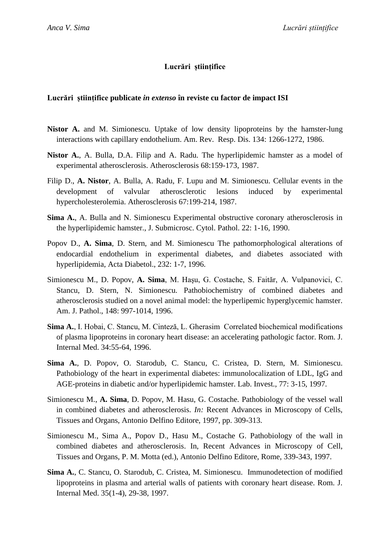## **Lucrări științifice**

## **Lucrări științifice publicate** *in extenso* **în reviste cu factor de impact ISI**

- **Nistor A.** and M. Simionescu. Uptake of low density lipoproteins by the hamster-lung interactions with capillary endothelium. Am. Rev. Resp. Dis. 134: 1266-1272, 1986.
- **Nistor A.**, A. Bulla, D.A. Filip and A. Radu. The hyperlipidemic hamster as a model of experimental atherosclerosis. Atherosclerosis 68:159-173, 1987.
- Filip D., **A. Nistor**, A. Bulla, A. Radu, F. Lupu and M. Simionescu. Cellular events in the development of valvular atherosclerotic lesions induced by experimental hypercholesterolemia. Atherosclerosis 67:199-214, 1987.
- **Sima A.**, A. Bulla and N. Simionescu Experimental obstructive coronary atherosclerosis in the hyperlipidemic hamster., J. Submicrosc. Cytol. Pathol. 22: 1-16, 1990.
- Popov D., **A. Sima**, D. Stern, and M. Simionescu The pathomorphological alterations of endocardial endothelium in experimental diabetes, and diabetes associated with hyperlipidemia, Acta Diabetol., 232: 1-7, 1996.
- Simionescu M., D. Popov, **A. Sima**, M. Haşu, G. Costache, S. Faităr, A. Vulpanovici, C. Stancu, D. Stern, N. Simionescu. Pathobiochemistry of combined diabetes and atherosclerosis studied on a novel animal model: the hyperlipemic hyperglycemic hamster. Am. J. Pathol., 148: 997-1014, 1996.
- **Sima A.**, I. Hobai, C. Stancu, M. Cinteză, L. Gherasim Correlated biochemical modifications of plasma lipoproteins in coronary heart disease: an accelerating pathologic factor. Rom. J. Internal Med. 34:55-64, 1996.
- **Sima A.**, D. Popov, O. Starodub, C. Stancu, C. Cristea, D. Stern, M. Simionescu. Pathobiology of the heart in experimental diabetes: immunolocalization of LDL, IgG and AGE-proteins in diabetic and/or hyperlipidemic hamster. Lab. Invest., 77: 3-15, 1997.
- Simionescu M., **A. Sima**, D. Popov, M. Hasu, G. Costache. Pathobiology of the vessel wall in combined diabetes and atherosclerosis. *In:* Recent Advances in Microscopy of Cells, Tissues and Organs, Antonio Delfino Editore, 1997, pp. 309-313.
- Simionescu M., Sima A., Popov D., Hasu M., Costache G. Pathobiology of the wall in combined diabetes and atherosclerosis. In, Recent Advances in Microscopy of Cell, Tissues and Organs, P. M. Motta (ed.), Antonio Delfino Editore, Rome, 339-343, 1997.
- **Sima A.**, C. Stancu, O. Starodub, C. Cristea, M. Simionescu. Immunodetection of modified lipoproteins in plasma and arterial walls of patients with coronary heart disease. Rom. J. Internal Med. 35(1-4), 29-38, 1997.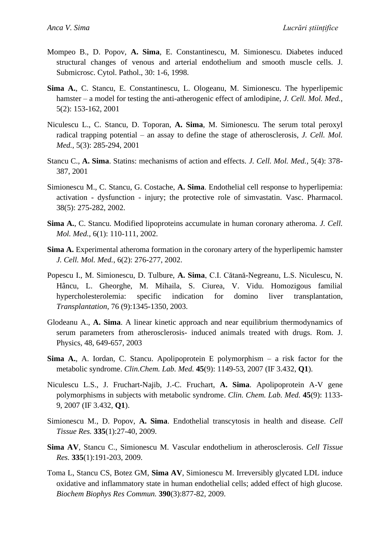- Mompeo B., D. Popov, **A. Sima**, E. Constantinescu, M. Simionescu. Diabetes induced structural changes of venous and arterial endothelium and smooth muscle cells. J. Submicrosc. Cytol. Pathol., 30: 1-6, 1998.
- **Sima A.**, C. Stancu, E. Constantinescu, L. Ologeanu, M. Simionescu. The hyperlipemic hamster – a model for testing the anti-atherogenic effect of amlodipine, *J. Cell. Mol. Med.*, 5(2): 153-162, 2001
- Niculescu L., C. Stancu, D. Toporan, **A. Sima**, M. Simionescu. The serum total peroxyl radical trapping potential – an assay to define the stage of atherosclerosis, *J. Cell. Mol. Med.*, 5(3): 285-294, 2001
- Stancu C., **A. Sima**. Statins: mechanisms of action and effects. *J. Cell. Mol. Med.*, 5(4): 378- 387, 2001
- Simionescu M., C. Stancu, G. Costache, **A. Sima**. Endothelial cell response to hyperlipemia: activation - dysfunction - injury; the protective role of simvastatin. Vasc. Pharmacol. 38(5): 275-282, 2002.
- **Sima A.**, C. Stancu. Modified lipoproteins accumulate in human coronary atheroma. *J. Cell. Mol. Med.*, 6(1): 110-111, 2002.
- **Sima A.** Experimental atheroma formation in the coronary artery of the hyperlipemic hamster *J. Cell. Mol. Med.*, 6(2): 276-277, 2002.
- Popescu I., M. Simionescu, D. Tulbure, **A. Sima**, C.I. Cătană-Negreanu, L.S. Niculescu, N. Hâncu, L. Gheorghe, M. Mihaila, S. Ciurea, V. Vidu. Homozigous familial hypercholesterolemia: specific indication for domino liver transplantation, *Transplantation*, 76 (9):1345-1350, 2003.
- Glodeanu A., **A. Sima**. A linear kinetic approach and near equilibrium thermodynamics of serum parameters from atherosclerosis- induced animals treated with drugs. Rom. J. Physics*,* 48, 649-657, 2003
- **Sima A.**, A. Iordan, C. Stancu. Apolipoprotein E polymorphism a risk factor for the metabolic syndrome. *Clin.Chem. Lab. Med.* **45**(9): 1149-53, 2007 (IF 3.432, **Q1**).
- Niculescu L.S., J. Fruchart-Najib, J.-C. Fruchart, **A. Sima**. Apolipoprotein A-V gene polymorphisms in subjects with metabolic syndrome. *Clin. Chem. Lab. Med.* **45**(9): 1133- 9, 2007 (IF 3.432, **Q1**).
- Simionescu M., D. Popov, **A. Sima**. Endothelial transcytosis in health and disease. *Cell Tissue Res.* **335**(1):27-40, 2009.
- **Sima AV**, Stancu C., Simionescu M. Vascular endothelium in atherosclerosis. *Cell Tissue Res.* **335**(1):191-203, 2009.
- Toma L, Stancu CS, Botez GM, **Sima AV**, Simionescu M. Irreversibly glycated LDL induce oxidative and inflammatory state in human endothelial cells; added effect of high glucose. *Biochem Biophys Res Commun.* **390**(3):877-82, 2009.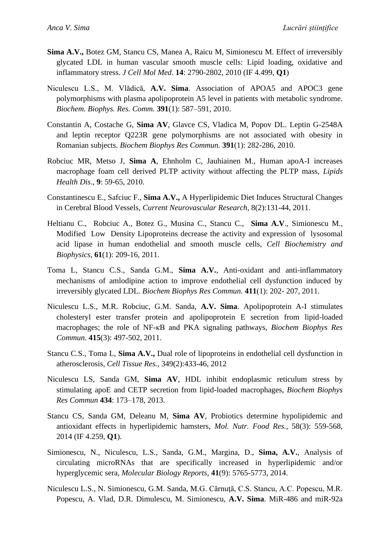- **Sima A.V.,** Botez GM, Stancu CS, Manea A, Raicu M, Simionescu M. Effect of irreversibly glycated LDL in human vascular smooth muscle cells: Lipid loading, oxidative and inflammatory stress. *J Cell Mol Med*. **14**: 2790-2802, 2010 (IF 4.499, **Q1**)
- Niculescu L.S., M. Vlădică, **A.V. Sima**. Association of APOA5 and APOC3 gene polymorphisms with plasma apolipoprotein A5 level in patients with metabolic syndrome. *Biochem. Biophys. Res. Comm.* **391**(1): 587–591, 2010.
- Constantin A, Costache G, **Sima AV**, Glavce CS, Vladica M, Popov DL. Leptin G-2548A and leptin receptor Q223R gene polymorphisms are not associated with obesity in Romanian subjects. *Biochem Biophys Res Commun.* **391**(1): 282-286, 2010.
- Robciuc MR, Metso J, **Sima A**, Ehnholm C, Jauhiainen M., Human apoA-I increases macrophage foam cell derived PLTP activity without affecting the PLTP mass, *Lipids Health Dis*., **9**: 59-65, 2010.
- Constantinescu E., Safciuc F., **Sima A.V.,** A Hyperlipidemic Diet Induces Structural Changes in Cerebral Blood Vessels, *Current Neurovascular Research*, 8(2):131-44, 2011.
- Heltianu C., Robciuc A., Botez G., Musina C., Stancu C., **Sima A.V**., Simionescu M., Modified Low Density Lipoproteins decrease the activity and expression of lysosomal acid lipase in human endothelial and smooth muscle cells, *Cell Biochemistry and Biophysics*, **61**(1): 209-16, 2011.
- Toma L, Stancu C.S., Sanda G.M., **Sima A.V.**, Anti-oxidant and anti-inflammatory mechanisms of amlodipine action to improve endothelial cell dysfunction induced by irreversibly glycated LDL. *Biochem Biophys Res Commun.* **411**(1): 202- 207, 2011.
- Niculescu L.S., M.R. Robciuc, G.M. Sanda, **A.V. Sima**. Apolipoprotein A-I stimulates cholesteryl ester transfer protein and apolipoprotein E secretion from lipid-loaded macrophages; the role of NF-κB and PKA signaling pathways, *Biochem Biophys Res Commun*. **415**(3): 497-502, 2011.
- Stancu C.S., Toma L, **Sima A.V.,** Dual role of lipoproteins in endothelial cell dysfunction in atherosclerosis, *Cell Tissue Res.*, 349(2):433-46, 2012
- Niculescu LS, Sanda GM, **Sima AV**, HDL inhibit endoplasmic reticulum stress by stimulating apoE and CETP secretion from lipid-loaded macrophages, *Biochem Biophys Res Commun* **434**: 173–178, 2013.
- Stancu CS, Sanda GM, Deleanu M, **Sima AV**, Probiotics determine hypolipidemic and antioxidant effects in hyperlipidemic hamsters, *Mol. Nutr. Food Res.*, 58(3): 559-568, 2014 (IF 4.259, **Q1**).
- Simionescu, N., Niculescu, L.S., Sanda, G.M., Margina, D., **Sima, A.V.**, Analysis of circulating microRNAs that are specifically increased in hyperlipidemic and/or hyperglycemic sera, *Molecular Biology Reports*, **41**(9): 5765-5773, 2014.
- Niculescu L.S., N. Simionescu, G.M. Sanda, M.G. Cărnuţă, C.S. Stancu, A.C. Popescu, M.R. Popescu, A. Vlad, D.R. Dimulescu, M. Simionescu, **A.V. Sima**. MiR-486 and miR-92a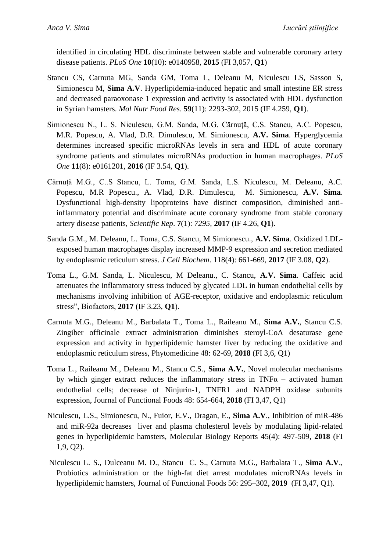*Anca V. Sima Lucrări științifice*

identified in circulating HDL discriminate between stable and vulnerable coronary artery disease patients. *PLoS One* **10**(10): e0140958, **2015** (FI 3,057, **Q1**)

- Stancu CS, Carnuta MG, Sanda GM, Toma L, Deleanu M, Niculescu LS, Sasson S, Simionescu M, **Sima A.V**. Hyperlipidemia-induced hepatic and small intestine ER stress and decreased paraoxonase 1 expression and activity is associated with HDL dysfunction in Syrian hamsters. *Mol Nutr Food Res*. **59**(11): 2293-302, 2015 (IF 4.259, **Q1**).
- Simionescu N., L. S. Niculescu, G.M. Sanda, M.G. Cărnuţă, C.S. Stancu, A.C. Popescu, M.R. Popescu, A. Vlad, D.R. Dimulescu, M. Simionescu, **A.V. Sima**. Hyperglycemia determines increased specific microRNAs levels in sera and HDL of acute coronary syndrome patients and stimulates microRNAs production in human macrophages. *PLoS One* **11**(8): e0161201, **2016** (IF 3.54, **Q1**).
- Cărnuță M.G., C..S Stancu, L. Toma, G.M. Sanda, L.S. Niculescu, M. Deleanu, A.C. Popescu, M.R Popescu., A. Vlad, D.R. Dimulescu, M. Simionescu, **A.V. Sima**. Dysfunctional high-density lipoproteins have distinct composition, diminished antiinflammatory potential and discriminate acute coronary syndrome from stable coronary artery disease patients, *Scientific Rep*. **7**(1): *7295,* **2017** (IF 4.26, **Q1**).
- Sanda G.M., M. Deleanu, L. Toma, C.S. Stancu, M Simionescu., **A.V. Sima**. Oxidized LDLexposed human macrophages display increased MMP-9 expression and secretion mediated by endoplasmic reticulum stress. *J Cell Biochem*. 118(4): 661-669, **2017** (IF 3.08, **Q2**).
- Toma L., G.M. Sanda, L. Niculescu, M Deleanu., C. Stancu, **A.V. Sima**. Caffeic acid attenuates the inflammatory stress induced by glycated LDL in human endothelial cells by mechanisms involving inhibition of AGE-receptor, oxidative and endoplasmic reticulum stress", Biofactors, **2017** (IF 3.23, **Q1**).
- Carnuta M.G., Deleanu M., Barbalata T., Toma L., Raileanu M., **Sima A.V.**, Stancu C.S. Zingiber officinale extract administration diminishes steroyl-CoA desaturase gene expression and activity in hyperlipidemic hamster liver by reducing the oxidative and endoplasmic reticulum stress, Phytomedicine 48: 62-69, **2018** (FI 3,6, Q1)
- Toma L., Raileanu M., Deleanu M., Stancu C.S., **Sima A.V.**, Novel molecular mechanisms by which ginger extract reduces the inflammatory stress in TNF $\alpha$  – activated human endothelial cells; decrease of Ninjurin-1, TNFR1 and NADPH oxidase subunits expression, Journal of Functional Foods 48: 654-664, **2018** (FI 3,47, Q1)
- Niculescu, L.S., Simionescu, N., Fuior, E.V., Dragan, E., **Sima A.V**., Inhibition of miR-486 and miR-92a decreases liver and plasma cholesterol levels by modulating lipid-related genes in hyperlipidemic hamsters, Molecular Biology Reports 45(4): 497-509, **2018** (FI 1,9, Q2).
- Niculescu L. S., Dulceanu M. D., Stancu C. S., Carnuta M.G., Barbalata T., **Sima A.V**., Probiotics administration or the high-fat diet arrest modulates microRNAs levels in hyperlipidemic hamsters, Journal of Functional Foods 56: 295–302, **2019** (FI 3,47, Q1).